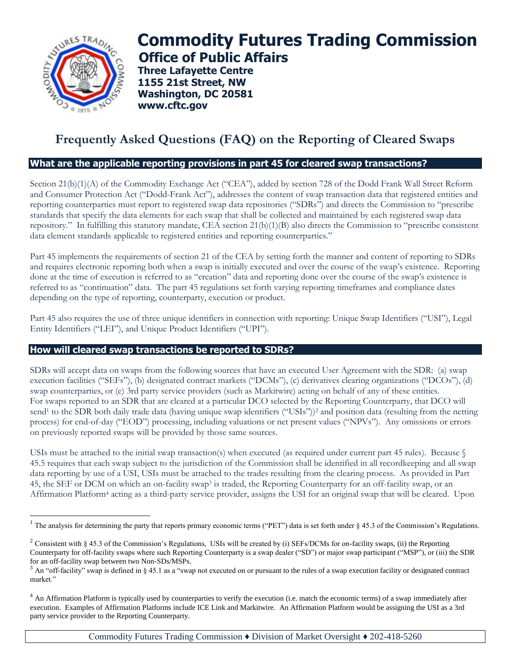

 $\overline{a}$ 

# **Commodity Futures Trading Commission Office of Public Affairs**

**Three Lafayette Centre 1155 21st Street, NW Washington, DC 20581 www.cftc.gov**

## **Frequently Asked Questions (FAQ) on the Reporting of Cleared Swaps**

#### **What are the applicable reporting provisions in part 45 for cleared swap transactions?**

Section 21(b)(1)(A) of the Commodity Exchange Act ("CEA"), added by section 728 of the Dodd Frank Wall Street Reform and Consumer Protection Act ("Dodd-Frank Act"), addresses the content of swap transaction data that registered entities and reporting counterparties must report to registered swap data repositories ("SDRs") and directs the Commission to "prescribe standards that specify the data elements for each swap that shall be collected and maintained by each registered swap data repository." In fulfilling this statutory mandate, CEA section 21(b)(1)(B) also directs the Commission to "prescribe consistent data element standards applicable to registered entities and reporting counterparties."

Part 45 implements the requirements of section 21 of the CEA by setting forth the manner and content of reporting to SDRs and requires electronic reporting both when a swap is initially executed and over the course of the swap's existence. Reporting done at the time of execution is referred to as "creation" data and reporting done over the course of the swap's existence is referred to as "continuation" data. The part 45 regulations set forth varying reporting timeframes and compliance dates depending on the type of reporting, counterparty, execution or product.

Part 45 also requires the use of three unique identifiers in connection with reporting: Unique Swap Identifiers ("USI"), Legal Entity Identifiers ("LEI"), and Unique Product Identifiers ("UPI").

#### **How will cleared swap transactions be reported to SDRs?**

SDRs will accept data on swaps from the following sources that have an executed User Agreement with the SDR: (a) swap execution facilities ("SEFs"), (b) designated contract markets ("DCMs"), (c) derivatives clearing organizations ("DCOs"), (d) swap counterparties, or (e) 3rd party service providers (such as Markitwire) acting on behalf of any of these entities. For swaps reported to an SDR that are cleared at a particular DCO selected by the Reporting Counterparty, that DCO will send<sup>1</sup> to the SDR both daily trade data (having unique swap identifiers ("USIs"))<sup>2</sup> and position data (resulting from the netting process) for end-of-day ("EOD") processing, including valuations or net present values ("NPVs"). Any omissions or errors on previously reported swaps will be provided by those same sources.

USIs must be attached to the initial swap transaction(s) when executed (as required under current part 45 rules). Because  $\sqrt{s}$ 45.5 requires that each swap subject to the jurisdiction of the Commission shall be identified in all recordkeeping and all swap data reporting by use of a USI, USIs must be attached to the trades resulting from the clearing process. As provided in Part 45, the SEF or DCM on which an on-facility swap<sup>3</sup> is traded, the Reporting Counterparty for an off-facility swap, or an Affirmation Platform<sup>4</sup> acting as a third-party service provider, assigns the USI for an original swap that will be cleared. Upon

<sup>&</sup>lt;sup>1</sup> The analysis for determining the party that reports primary economic terms ("PET") data is set forth under  $\S$  45.3 of the Commission's Regulations.

<sup>&</sup>lt;sup>2</sup> Consistent with § 45.3 of the Commission's Regulations, USIs will be created by (i) SEFs/DCMs for on-facility swaps, (ii) the Reporting Counterparty for off-facility swaps where such Reporting Counterparty is a swap dealer ("SD") or major swap participant ("MSP"), or (iii) the SDR for an off-facility swap between two Non-SDs/MSPs.

 $3$  An "off-facility" swap is defined in § 45.1 as a "swap not executed on or pursuant to the rules of a swap execution facility or designated contract market."

 $4$  An Affirmation Platform is typically used by counterparties to verify the execution (i.e. match the economic terms) of a swap immediately after execution. Examples of Affirmation Platforms include ICE Link and Markitwire. An Affirmation Platform would be assigning the USI as a 3rd party service provider to the Reporting Counterparty.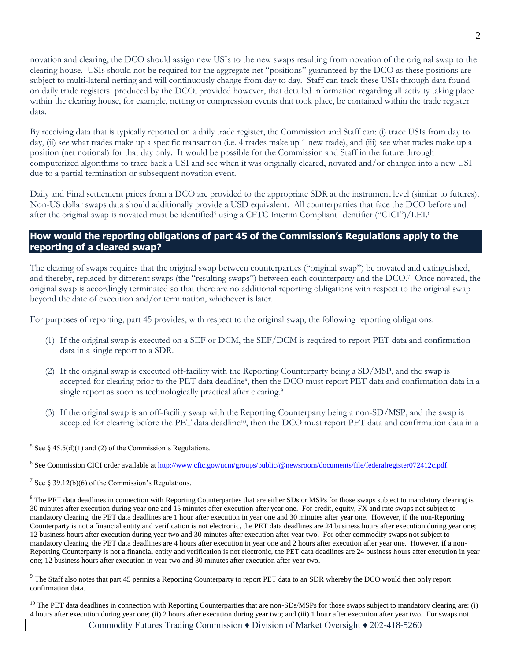novation and clearing, the DCO should assign new USIs to the new swaps resulting from novation of the original swap to the clearing house. USIs should not be required for the aggregate net "positions" guaranteed by the DCO as these positions are subject to multi-lateral netting and will continuously change from day to day. Staff can track these USIs through data found on daily trade registers produced by the DCO, provided however, that detailed information regarding all activity taking place within the clearing house, for example, netting or compression events that took place, be contained within the trade register data.

By receiving data that is typically reported on a daily trade register, the Commission and Staff can: (i) trace USIs from day to day, (ii) see what trades make up a specific transaction (i.e. 4 trades make up 1 new trade), and (iii) see what trades make up a position (net notional) for that day only. It would be possible for the Commission and Staff in the future through computerized algorithms to trace back a USI and see when it was originally cleared, novated and/or changed into a new USI due to a partial termination or subsequent novation event.

Daily and Final settlement prices from a DCO are provided to the appropriate SDR at the instrument level (similar to futures). Non-US dollar swaps data should additionally provide a USD equivalent. All counterparties that face the DCO before and after the original swap is novated must be identified<sup>5</sup> using a CFTC Interim Compliant Identifier ("CICI")/LEI.<sup>6</sup>

#### **How would the reporting obligations of part 45 of the Commission's Regulations apply to the reporting of a cleared swap?**

The clearing of swaps requires that the original swap between counterparties ("original swap") be novated and extinguished, and thereby, replaced by different swaps (the "resulting swaps") between each counterparty and the DCO.<sup>7</sup> Once novated, the original swap is accordingly terminated so that there are no additional reporting obligations with respect to the original swap beyond the date of execution and/or termination, whichever is later.

For purposes of reporting, part 45 provides, with respect to the original swap, the following reporting obligations.

- (1) If the original swap is executed on a SEF or DCM, the SEF/DCM is required to report PET data and confirmation data in a single report to a SDR.
- (2) If the original swap is executed off-facility with the Reporting Counterparty being a SD/MSP, and the swap is accepted for clearing prior to the PET data deadline<sup>8</sup>, then the DCO must report PET data and confirmation data in a single report as soon as technologically practical after clearing.<sup>9</sup>
- (3) If the original swap is an off-facility swap with the Reporting Counterparty being a non-SD/MSP, and the swap is accepted for clearing before the PET data deadline<sup>10</sup>, then the DCO must report PET data and confirmation data in a

 $9$  The Staff also notes that part 45 permits a Reporting Counterparty to report PET data to an SDR whereby the DCO would then only report confirmation data.

<sup>10</sup> The PET data deadlines in connection with Reporting Counterparties that are non-SDs/MSPs for those swaps subject to mandatory clearing are: (i) 4 hours after execution during year one; (ii) 2 hours after execution during year two; and (iii) 1 hour after execution after year two. For swaps not

Commodity Futures Trading Commission ♦ Division of Market Oversight ♦ 202-418-5260

 $\overline{a}$ <sup>5</sup> See § 45.5(d)(1) and (2) of the Commission's Regulations.

<sup>6</sup> See Commission CICI order available a[t http://www.cftc.gov/ucm/groups/public/@newsroom/documents/file/federalregister072412c.pdf.](http://www.cftc.gov/ucm/groups/public/@newsroom/documents/file/federalregister072412c.pdf)

<sup>&</sup>lt;sup>7</sup> See § 39.12(b)(6) of the Commission's Regulations.

<sup>&</sup>lt;sup>8</sup> The PET data deadlines in connection with Reporting Counterparties that are either SDs or MSPs for those swaps subject to mandatory clearing is 30 minutes after execution during year one and 15 minutes after execution after year one. For credit, equity, FX and rate swaps not subject to mandatory clearing, the PET data deadlines are 1 hour after execution in year one and 30 minutes after year one. However, if the non-Reporting Counterparty is not a financial entity and verification is not electronic, the PET data deadlines are 24 business hours after execution during year one; 12 business hours after execution during year two and 30 minutes after execution after year two. For other commodity swaps not subject to mandatory clearing, the PET data deadlines are 4 hours after execution in year one and 2 hours after execution after year one. However, if a non-Reporting Counterparty is not a financial entity and verification is not electronic, the PET data deadlines are 24 business hours after execution in year one; 12 business hours after execution in year two and 30 minutes after execution after year two.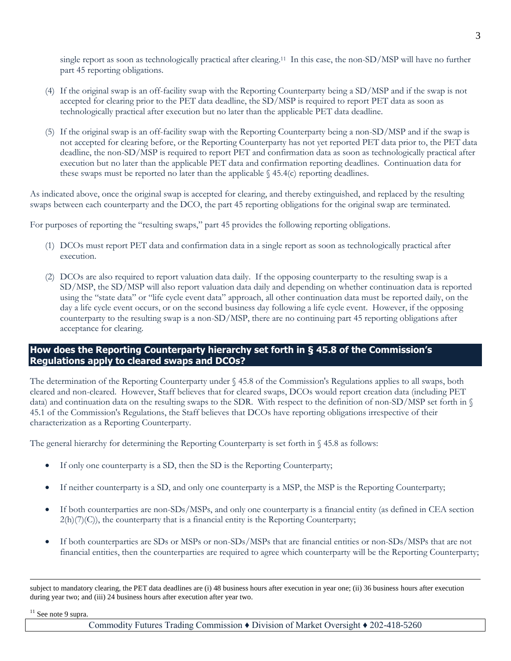single report as soon as technologically practical after clearing.<sup>11</sup> In this case, the non-SD/MSP will have no further part 45 reporting obligations.

- (4) If the original swap is an off-facility swap with the Reporting Counterparty being a SD/MSP and if the swap is not accepted for clearing prior to the PET data deadline, the SD/MSP is required to report PET data as soon as technologically practical after execution but no later than the applicable PET data deadline.
- (5) If the original swap is an off-facility swap with the Reporting Counterparty being a non-SD/MSP and if the swap is not accepted for clearing before, or the Reporting Counterparty has not yet reported PET data prior to, the PET data deadline, the non-SD/MSP is required to report PET and confirmation data as soon as technologically practical after execution but no later than the applicable PET data and confirmation reporting deadlines. Continuation data for these swaps must be reported no later than the applicable  $\S$  45.4(c) reporting deadlines.

As indicated above, once the original swap is accepted for clearing, and thereby extinguished, and replaced by the resulting swaps between each counterparty and the DCO, the part 45 reporting obligations for the original swap are terminated.

For purposes of reporting the "resulting swaps," part 45 provides the following reporting obligations.

- (1) DCOs must report PET data and confirmation data in a single report as soon as technologically practical after execution.
- (2) DCOs are also required to report valuation data daily. If the opposing counterparty to the resulting swap is a SD/MSP, the SD/MSP will also report valuation data daily and depending on whether continuation data is reported using the "state data" or "life cycle event data" approach, all other continuation data must be reported daily, on the day a life cycle event occurs, or on the second business day following a life cycle event. However, if the opposing counterparty to the resulting swap is a non-SD/MSP, there are no continuing part 45 reporting obligations after acceptance for clearing.

#### **How does the Reporting Counterparty hierarchy set forth in § 45.8 of the Commission's Regulations apply to cleared swaps and DCOs?**

The determination of the Reporting Counterparty under § 45.8 of the Commission's Regulations applies to all swaps, both cleared and non-cleared. However, Staff believes that for cleared swaps, DCOs would report creation data (including PET data) and continuation data on the resulting swaps to the SDR. With respect to the definition of non-SD/MSP set forth in § 45.1 of the Commission's Regulations, the Staff believes that DCOs have reporting obligations irrespective of their characterization as a Reporting Counterparty.

The general hierarchy for determining the Reporting Counterparty is set forth in  $\S$  45.8 as follows:

- If only one counterparty is a SD, then the SD is the Reporting Counterparty;
- If neither counterparty is a SD, and only one counterparty is a MSP, the MSP is the Reporting Counterparty;
- If both counterparties are non-SDs/MSPs, and only one counterparty is a financial entity (as defined in CEA section  $2(h)(7)(C)$ , the counterparty that is a financial entity is the Reporting Counterparty;
- If both counterparties are SDs or MSPs or non-SDs/MSPs that are financial entities or non-SDs/MSPs that are not financial entities, then the counterparties are required to agree which counterparty will be the Reporting Counterparty;

subject to mandatory clearing, the PET data deadlines are (i) 48 business hours after execution in year one; (ii) 36 business hours after execution during year two; and (iii) 24 business hours after execution after year two.

<sup>11</sup> See note 9 supra.

 $\overline{a}$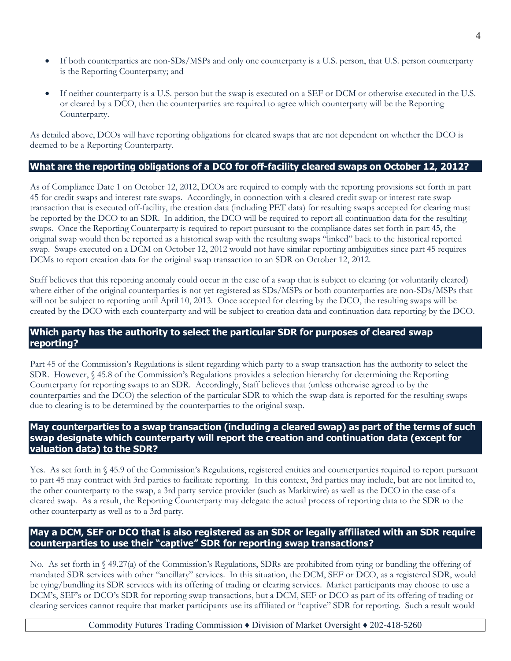- If both counterparties are non-SDs/MSPs and only one counterparty is a U.S. person, that U.S. person counterparty is the Reporting Counterparty; and
- If neither counterparty is a U.S. person but the swap is executed on a SEF or DCM or otherwise executed in the U.S. or cleared by a DCO, then the counterparties are required to agree which counterparty will be the Reporting Counterparty.

As detailed above, DCOs will have reporting obligations for cleared swaps that are not dependent on whether the DCO is deemed to be a Reporting Counterparty.

#### **What are the reporting obligations of a DCO for off-facility cleared swaps on October 12, 2012?**

As of Compliance Date 1 on October 12, 2012, DCOs are required to comply with the reporting provisions set forth in part 45 for credit swaps and interest rate swaps. Accordingly, in connection with a cleared credit swap or interest rate swap transaction that is executed off-facility, the creation data (including PET data) for resulting swaps accepted for clearing must be reported by the DCO to an SDR. In addition, the DCO will be required to report all continuation data for the resulting swaps. Once the Reporting Counterparty is required to report pursuant to the compliance dates set forth in part 45, the original swap would then be reported as a historical swap with the resulting swaps "linked" back to the historical reported swap. Swaps executed on a DCM on October 12, 2012 would not have similar reporting ambiguities since part 45 requires DCMs to report creation data for the original swap transaction to an SDR on October 12, 2012.

Staff believes that this reporting anomaly could occur in the case of a swap that is subject to clearing (or voluntarily cleared) where either of the original counterparties is not yet registered as  $SDs/MSPs$  or both counterparties are non-SDs/MSPs that will not be subject to reporting until April 10, 2013. Once accepted for clearing by the DCO, the resulting swaps will be created by the DCO with each counterparty and will be subject to creation data and continuation data reporting by the DCO.

#### **Which party has the authority to select the particular SDR for purposes of cleared swap reporting?**

Part 45 of the Commission's Regulations is silent regarding which party to a swap transaction has the authority to select the SDR. However, § 45.8 of the Commission's Regulations provides a selection hierarchy for determining the Reporting Counterparty for reporting swaps to an SDR. Accordingly, Staff believes that (unless otherwise agreed to by the counterparties and the DCO) the selection of the particular SDR to which the swap data is reported for the resulting swaps due to clearing is to be determined by the counterparties to the original swap.

### **May counterparties to a swap transaction (including a cleared swap) as part of the terms of such swap designate which counterparty will report the creation and continuation data (except for valuation data) to the SDR?**

Yes. As set forth in § 45.9 of the Commission's Regulations, registered entities and counterparties required to report pursuant to part 45 may contract with 3rd parties to facilitate reporting. In this context, 3rd parties may include, but are not limited to, the other counterparty to the swap, a 3rd party service provider (such as Markitwire) as well as the DCO in the case of a cleared swap. As a result, the Reporting Counterparty may delegate the actual process of reporting data to the SDR to the other counterparty as well as to a 3rd party.

### **May a DCM, SEF or DCO that is also registered as an SDR or legally affiliated with an SDR require counterparties to use their "captive" SDR for reporting swap transactions?**

No. As set forth in § 49.27(a) of the Commission's Regulations, SDRs are prohibited from tying or bundling the offering of mandated SDR services with other "ancillary" services. In this situation, the DCM, SEF or DCO, as a registered SDR, would be tying/bundling its SDR services with its offering of trading or clearing services. Market participants may choose to use a DCM's, SEF's or DCO's SDR for reporting swap transactions, but a DCM, SEF or DCO as part of its offering of trading or clearing services cannot require that market participants use its affiliated or "captive" SDR for reporting. Such a result would

Commodity Futures Trading Commission ♦ Division of Market Oversight ♦ 202-418-5260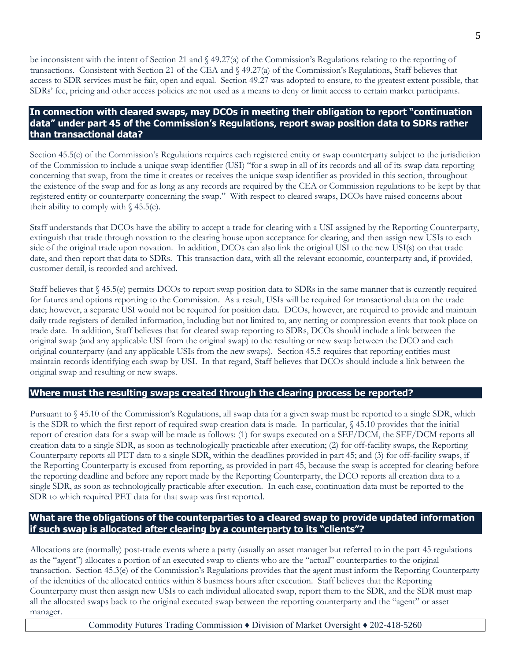be inconsistent with the intent of Section 21 and § 49.27(a) of the Commission's Regulations relating to the reporting of transactions. Consistent with Section 21 of the CEA and § 49.27(a) of the Commission's Regulations, Staff believes that access to SDR services must be fair, open and equal. Section 49.27 was adopted to ensure, to the greatest extent possible, that SDRs' fee, pricing and other access policies are not used as a means to deny or limit access to certain market participants.

#### **In connection with cleared swaps, may DCOs in meeting their obligation to report "continuation data" under part 45 of the Commission's Regulations, report swap position data to SDRs rather than transactional data?**

Section 45.5(e) of the Commission's Regulations requires each registered entity or swap counterparty subject to the jurisdiction of the Commission to include a unique swap identifier (USI) "for a swap in all of its records and all of its swap data reporting concerning that swap, from the time it creates or receives the unique swap identifier as provided in this section, throughout the existence of the swap and for as long as any records are required by the CEA or Commission regulations to be kept by that registered entity or counterparty concerning the swap." With respect to cleared swaps, DCOs have raised concerns about their ability to comply with  $\S$  45.5(e).

Staff understands that DCOs have the ability to accept a trade for clearing with a USI assigned by the Reporting Counterparty, extinguish that trade through novation to the clearing house upon acceptance for clearing, and then assign new USIs to each side of the original trade upon novation. In addition, DCOs can also link the original USI to the new USI(s) on that trade date, and then report that data to SDRs. This transaction data, with all the relevant economic, counterparty and, if provided, customer detail, is recorded and archived.

Staff believes that § 45.5(e) permits DCOs to report swap position data to SDRs in the same manner that is currently required for futures and options reporting to the Commission. As a result, USIs will be required for transactional data on the trade date; however, a separate USI would not be required for position data. DCOs, however, are required to provide and maintain daily trade registers of detailed information, including but not limited to, any netting or compression events that took place on trade date. In addition, Staff believes that for cleared swap reporting to SDRs, DCOs should include a link between the original swap (and any applicable USI from the original swap) to the resulting or new swap between the DCO and each original counterparty (and any applicable USIs from the new swaps). Section 45.5 requires that reporting entities must maintain records identifying each swap by USI. In that regard, Staff believes that DCOs should include a link between the original swap and resulting or new swaps.

#### **Where must the resulting swaps created through the clearing process be reported?**

Pursuant to § 45.10 of the Commission's Regulations, all swap data for a given swap must be reported to a single SDR, which is the SDR to which the first report of required swap creation data is made. In particular, § 45.10 provides that the initial report of creation data for a swap will be made as follows: (1) for swaps executed on a SEF/DCM, the SEF/DCM reports all creation data to a single SDR, as soon as technologically practicable after execution; (2) for off-facility swaps, the Reporting Counterparty reports all PET data to a single SDR, within the deadlines provided in part 45; and (3) for off-facility swaps, if the Reporting Counterparty is excused from reporting, as provided in part 45, because the swap is accepted for clearing before the reporting deadline and before any report made by the Reporting Counterparty, the DCO reports all creation data to a single SDR, as soon as technologically practicable after execution. In each case, continuation data must be reported to the SDR to which required PET data for that swap was first reported.

### **What are the obligations of the counterparties to a cleared swap to provide updated information if such swap is allocated after clearing by a counterparty to its "clients"?**

Allocations are (normally) post-trade events where a party (usually an asset manager but referred to in the part 45 regulations as the "agent") allocates a portion of an executed swap to clients who are the "actual" counterparties to the original transaction. Section 45.3(e) of the Commission's Regulations provides that the agent must inform the Reporting Counterparty of the identities of the allocated entities within 8 business hours after execution. Staff believes that the Reporting Counterparty must then assign new USIs to each individual allocated swap, report them to the SDR, and the SDR must map all the allocated swaps back to the original executed swap between the reporting counterparty and the "agent" or asset manager.